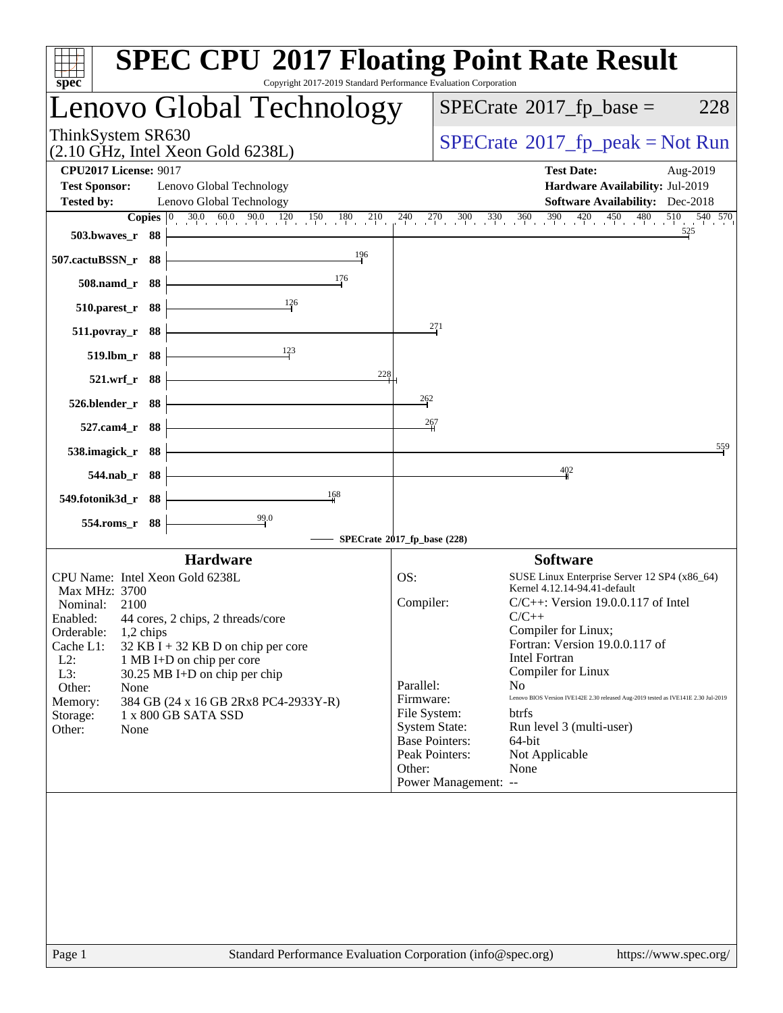| ThinkSystem SR630<br>$SPECrate^{\circ}2017$ [p_peak = Not Run<br>$(2.10 \text{ GHz}, \text{Intel Xeon Gold } 6238L)$<br><b>CPU2017 License: 9017</b><br><b>Test Date:</b><br>Aug-2019<br><b>Test Sponsor:</b><br>Lenovo Global Technology<br>Hardware Availability: Jul-2019<br>Lenovo Global Technology<br><b>Software Availability:</b> Dec-2018<br><b>Tested by:</b><br>$30.0$ $60.0$ $90.0$ $120$ $150$ $180$ $210$<br>$240$ $270$ $300$ $330$ $360$ $390$ $420$ $450$ $480$<br>$510$ $540$ $570$<br><b>Copies</b> $\vert 0 \vert$<br>525<br>503.bwayes_r 88<br>196<br>507.cactuBSSN_r 88<br>176<br>508.namd_r 88<br>$\frac{126}{2}$<br>510.parest_r 88<br>271<br>511.povray_r 88<br>123<br>519.lbm_r 88<br>228<br>521.wrf_r 88<br>262<br>526.blender_r 88<br>$\frac{267}{1}$<br>527.cam4_r 88<br>559<br>538.imagick_r 88<br>402<br>544.nab_r 88<br>168<br>549.fotonik3d_r 88<br>$\frac{99.0}{4}$<br>554.roms_r 88<br>SPECrate®2017_fp_base (228)<br><b>Software</b><br><b>Hardware</b><br>CPU Name: Intel Xeon Gold 6238L<br>SUSE Linux Enterprise Server 12 SP4 (x86_64)<br>OS:<br>Kernel 4.12.14-94.41-default<br>Max MHz: 3700<br>Compiler:<br>$C/C++$ : Version 19.0.0.117 of Intel<br>Nominal:<br>2100<br>$C/C++$<br>Enabled: 44 cores, 2 chips, 2 threads/core<br>Compiler for Linux;<br>Orderable:<br>1,2 chips<br>Fortran: Version 19.0.0.117 of<br>Cache L1:<br>$32$ KB I + 32 KB D on chip per core<br><b>Intel Fortran</b><br>$L2$ :<br>1 MB I+D on chip per core<br>Compiler for Linux<br>L3:<br>30.25 MB I+D on chip per chip<br>Parallel:<br>N <sub>0</sub><br>Other:<br>None<br>Lenovo BIOS Version IVE142E 2.30 released Aug-2019 tested as IVE141E 2.30 Jul-2019<br>Firmware:<br>Memory:<br>384 GB (24 x 16 GB 2Rx8 PC4-2933Y-R)<br>File System:<br>btrfs<br>1 x 800 GB SATA SSD<br>Storage:<br><b>System State:</b><br>Run level 3 (multi-user)<br>Other:<br>None<br><b>Base Pointers:</b><br>64-bit<br>Peak Pointers:<br>Not Applicable<br>Other:<br>None<br>Power Management: -- | Lenovo Global Technology |  |  | $SPECrate^{\circ}2017$ _fp_base = | 228 |
|-----------------------------------------------------------------------------------------------------------------------------------------------------------------------------------------------------------------------------------------------------------------------------------------------------------------------------------------------------------------------------------------------------------------------------------------------------------------------------------------------------------------------------------------------------------------------------------------------------------------------------------------------------------------------------------------------------------------------------------------------------------------------------------------------------------------------------------------------------------------------------------------------------------------------------------------------------------------------------------------------------------------------------------------------------------------------------------------------------------------------------------------------------------------------------------------------------------------------------------------------------------------------------------------------------------------------------------------------------------------------------------------------------------------------------------------------------------------------------------------------------------------------------------------------------------------------------------------------------------------------------------------------------------------------------------------------------------------------------------------------------------------------------------------------------------------------------------------------------------------------------------------------------------------------------------------------------------------------------------------------------------|--------------------------|--|--|-----------------------------------|-----|
|                                                                                                                                                                                                                                                                                                                                                                                                                                                                                                                                                                                                                                                                                                                                                                                                                                                                                                                                                                                                                                                                                                                                                                                                                                                                                                                                                                                                                                                                                                                                                                                                                                                                                                                                                                                                                                                                                                                                                                                                           |                          |  |  |                                   |     |
|                                                                                                                                                                                                                                                                                                                                                                                                                                                                                                                                                                                                                                                                                                                                                                                                                                                                                                                                                                                                                                                                                                                                                                                                                                                                                                                                                                                                                                                                                                                                                                                                                                                                                                                                                                                                                                                                                                                                                                                                           |                          |  |  |                                   |     |
|                                                                                                                                                                                                                                                                                                                                                                                                                                                                                                                                                                                                                                                                                                                                                                                                                                                                                                                                                                                                                                                                                                                                                                                                                                                                                                                                                                                                                                                                                                                                                                                                                                                                                                                                                                                                                                                                                                                                                                                                           |                          |  |  |                                   |     |
|                                                                                                                                                                                                                                                                                                                                                                                                                                                                                                                                                                                                                                                                                                                                                                                                                                                                                                                                                                                                                                                                                                                                                                                                                                                                                                                                                                                                                                                                                                                                                                                                                                                                                                                                                                                                                                                                                                                                                                                                           |                          |  |  |                                   |     |
|                                                                                                                                                                                                                                                                                                                                                                                                                                                                                                                                                                                                                                                                                                                                                                                                                                                                                                                                                                                                                                                                                                                                                                                                                                                                                                                                                                                                                                                                                                                                                                                                                                                                                                                                                                                                                                                                                                                                                                                                           |                          |  |  |                                   |     |
|                                                                                                                                                                                                                                                                                                                                                                                                                                                                                                                                                                                                                                                                                                                                                                                                                                                                                                                                                                                                                                                                                                                                                                                                                                                                                                                                                                                                                                                                                                                                                                                                                                                                                                                                                                                                                                                                                                                                                                                                           |                          |  |  |                                   |     |
|                                                                                                                                                                                                                                                                                                                                                                                                                                                                                                                                                                                                                                                                                                                                                                                                                                                                                                                                                                                                                                                                                                                                                                                                                                                                                                                                                                                                                                                                                                                                                                                                                                                                                                                                                                                                                                                                                                                                                                                                           |                          |  |  |                                   |     |
|                                                                                                                                                                                                                                                                                                                                                                                                                                                                                                                                                                                                                                                                                                                                                                                                                                                                                                                                                                                                                                                                                                                                                                                                                                                                                                                                                                                                                                                                                                                                                                                                                                                                                                                                                                                                                                                                                                                                                                                                           |                          |  |  |                                   |     |
|                                                                                                                                                                                                                                                                                                                                                                                                                                                                                                                                                                                                                                                                                                                                                                                                                                                                                                                                                                                                                                                                                                                                                                                                                                                                                                                                                                                                                                                                                                                                                                                                                                                                                                                                                                                                                                                                                                                                                                                                           |                          |  |  |                                   |     |
|                                                                                                                                                                                                                                                                                                                                                                                                                                                                                                                                                                                                                                                                                                                                                                                                                                                                                                                                                                                                                                                                                                                                                                                                                                                                                                                                                                                                                                                                                                                                                                                                                                                                                                                                                                                                                                                                                                                                                                                                           |                          |  |  |                                   |     |
|                                                                                                                                                                                                                                                                                                                                                                                                                                                                                                                                                                                                                                                                                                                                                                                                                                                                                                                                                                                                                                                                                                                                                                                                                                                                                                                                                                                                                                                                                                                                                                                                                                                                                                                                                                                                                                                                                                                                                                                                           |                          |  |  |                                   |     |
|                                                                                                                                                                                                                                                                                                                                                                                                                                                                                                                                                                                                                                                                                                                                                                                                                                                                                                                                                                                                                                                                                                                                                                                                                                                                                                                                                                                                                                                                                                                                                                                                                                                                                                                                                                                                                                                                                                                                                                                                           |                          |  |  |                                   |     |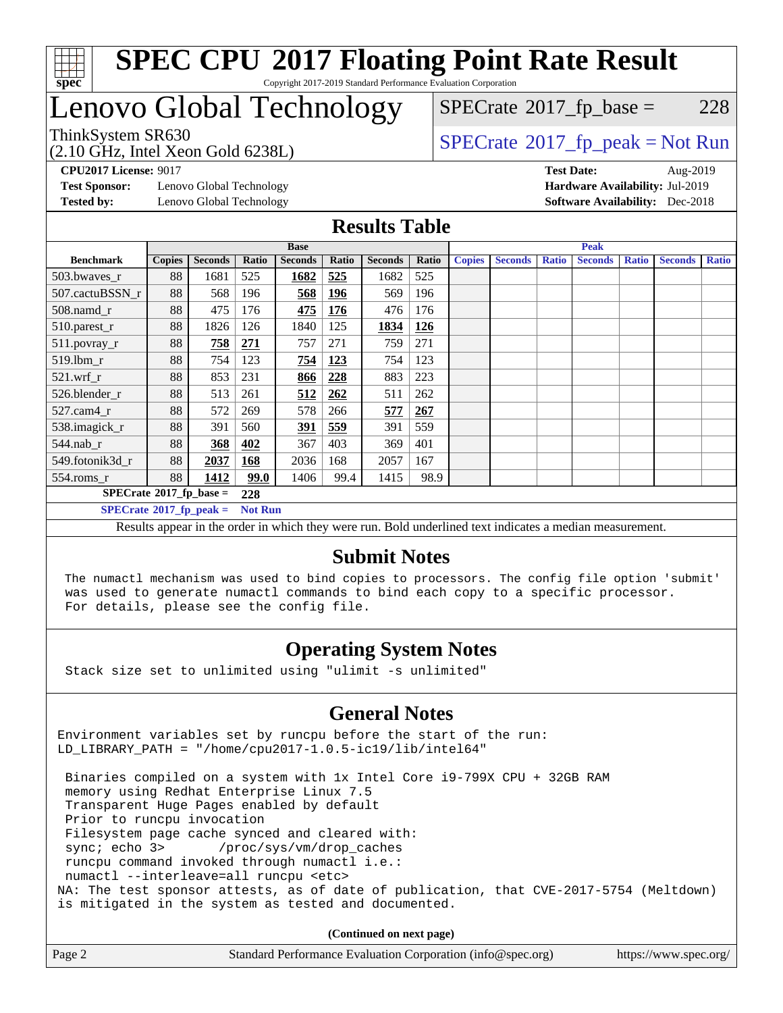

#### **[SPEC CPU](http://www.spec.org/auto/cpu2017/Docs/result-fields.html#SPECCPU2017FloatingPointRateResult)[2017 Floating Point Rate Result](http://www.spec.org/auto/cpu2017/Docs/result-fields.html#SPECCPU2017FloatingPointRateResult)** Copyright 2017-2019 Standard Performance Evaluation Corporation

# Lenovo Global Technology

(2.10 GHz, Intel Xeon Gold 6238L)

 $SPECTate@2017_fp\_base = 228$ 

## $SPECTate@2017_fp\_peak = Not Run$

**[Test Sponsor:](http://www.spec.org/auto/cpu2017/Docs/result-fields.html#TestSponsor)** Lenovo Global Technology **[Hardware Availability:](http://www.spec.org/auto/cpu2017/Docs/result-fields.html#HardwareAvailability)** Jul-2019 **[Tested by:](http://www.spec.org/auto/cpu2017/Docs/result-fields.html#Testedby)** Lenovo Global Technology **[Software Availability:](http://www.spec.org/auto/cpu2017/Docs/result-fields.html#SoftwareAvailability)** Dec-2018

**[CPU2017 License:](http://www.spec.org/auto/cpu2017/Docs/result-fields.html#CPU2017License)** 9017 **[Test Date:](http://www.spec.org/auto/cpu2017/Docs/result-fields.html#TestDate)** Aug-2019

#### **[Results Table](http://www.spec.org/auto/cpu2017/Docs/result-fields.html#ResultsTable)**

|                                        | <b>Base</b>   |                |                |                |            |                |            |               | <b>Peak</b>    |              |                |              |                |              |
|----------------------------------------|---------------|----------------|----------------|----------------|------------|----------------|------------|---------------|----------------|--------------|----------------|--------------|----------------|--------------|
| <b>Benchmark</b>                       | <b>Copies</b> | <b>Seconds</b> | Ratio          | <b>Seconds</b> | Ratio      | <b>Seconds</b> | Ratio      | <b>Copies</b> | <b>Seconds</b> | <b>Ratio</b> | <b>Seconds</b> | <b>Ratio</b> | <b>Seconds</b> | <b>Ratio</b> |
| 503.bwaves_r                           | 88            | 1681           | 525            | 1682           | 525        | 1682           | 525        |               |                |              |                |              |                |              |
| 507.cactuBSSN r                        | 88            | 568            | 196            | 568            | <u>196</u> | 569            | 196        |               |                |              |                |              |                |              |
| $508$ .namd $r$                        | 88            | 475            | 176            | 475            | 176        | 476            | 176        |               |                |              |                |              |                |              |
| 510.parest_r                           | 88            | 1826           | 126            | 1840           | 125        | 1834           | <b>126</b> |               |                |              |                |              |                |              |
| 511.povray_r                           | 88            | 758            | 271            | 757            | 271        | 759            | 271        |               |                |              |                |              |                |              |
| 519.lbm r                              | 88            | 754            | 123            | 754            | 123        | 754            | 123        |               |                |              |                |              |                |              |
| $521$ .wrf $r$                         | 88            | 853            | 231            | 866            | 228        | 883            | 223        |               |                |              |                |              |                |              |
| 526.blender r                          | 88            | 513            | 261            | 512            | <u>262</u> | 511            | 262        |               |                |              |                |              |                |              |
| $527$ .cam $4r$                        | 88            | 572            | 269            | 578            | 266        | 577            | 267        |               |                |              |                |              |                |              |
| 538.imagick_r                          | 88            | 391            | 560            | 391            | 559        | 391            | 559        |               |                |              |                |              |                |              |
| $544$ .nab r                           | 88            | 368            | 402            | 367            | 403        | 369            | 401        |               |                |              |                |              |                |              |
| 549.fotonik3d r                        | 88            | 2037           | 168            | 2036           | 168        | 2057           | 167        |               |                |              |                |              |                |              |
| $554$ .roms_r                          | 88            | 1412           | 99.0           | 1406           | 99.4       | 1415           | 98.9       |               |                |              |                |              |                |              |
| $SPECrate$ <sup>®</sup> 2017_fp_base = |               |                | 228            |                |            |                |            |               |                |              |                |              |                |              |
| $SPECrate^{\circ}2017$ fp peak =       |               |                | <b>Not Run</b> |                |            |                |            |               |                |              |                |              |                |              |

Results appear in the [order in which they were run.](http://www.spec.org/auto/cpu2017/Docs/result-fields.html#RunOrder) Bold underlined text [indicates a median measurement.](http://www.spec.org/auto/cpu2017/Docs/result-fields.html#Median)

### **[Submit Notes](http://www.spec.org/auto/cpu2017/Docs/result-fields.html#SubmitNotes)**

 The numactl mechanism was used to bind copies to processors. The config file option 'submit' was used to generate numactl commands to bind each copy to a specific processor. For details, please see the config file.

## **[Operating System Notes](http://www.spec.org/auto/cpu2017/Docs/result-fields.html#OperatingSystemNotes)**

Stack size set to unlimited using "ulimit -s unlimited"

## **[General Notes](http://www.spec.org/auto/cpu2017/Docs/result-fields.html#GeneralNotes)**

Environment variables set by runcpu before the start of the run: LD\_LIBRARY\_PATH = "/home/cpu2017-1.0.5-ic19/lib/intel64"

 Binaries compiled on a system with 1x Intel Core i9-799X CPU + 32GB RAM memory using Redhat Enterprise Linux 7.5 Transparent Huge Pages enabled by default Prior to runcpu invocation Filesystem page cache synced and cleared with: sync; echo 3> /proc/sys/vm/drop\_caches runcpu command invoked through numactl i.e.: numactl --interleave=all runcpu <etc> NA: The test sponsor attests, as of date of publication, that CVE-2017-5754 (Meltdown) is mitigated in the system as tested and documented.

**(Continued on next page)**

| Page 2 | Standard Performance Evaluation Corporation (info@spec.org) | https://www.spec.org/ |
|--------|-------------------------------------------------------------|-----------------------|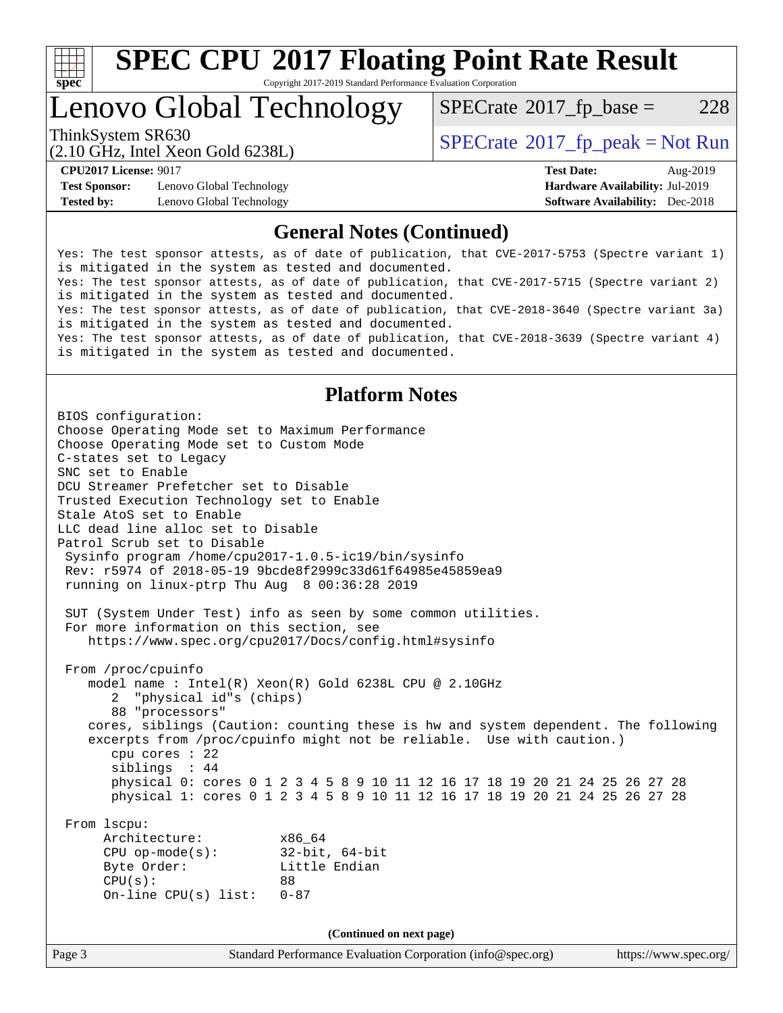

# **[SPEC CPU](http://www.spec.org/auto/cpu2017/Docs/result-fields.html#SPECCPU2017FloatingPointRateResult)[2017 Floating Point Rate Result](http://www.spec.org/auto/cpu2017/Docs/result-fields.html#SPECCPU2017FloatingPointRateResult)**

Copyright 2017-2019 Standard Performance Evaluation Corporation

# Lenovo Global Technology

 $SPECTate@2017_fp\_base = 228$ 

(2.10 GHz, Intel Xeon Gold 6238L)

ThinkSystem SR630<br>  $SPECTR = Not Run 2017$  [SPECrate](http://www.spec.org/auto/cpu2017/Docs/result-fields.html#SPECrate2017fppeak)®[2017\\_fp\\_peak = N](http://www.spec.org/auto/cpu2017/Docs/result-fields.html#SPECrate2017fppeak)ot Run

**[Test Sponsor:](http://www.spec.org/auto/cpu2017/Docs/result-fields.html#TestSponsor)** Lenovo Global Technology **[Hardware Availability:](http://www.spec.org/auto/cpu2017/Docs/result-fields.html#HardwareAvailability)** Jul-2019 **[Tested by:](http://www.spec.org/auto/cpu2017/Docs/result-fields.html#Testedby)** Lenovo Global Technology **[Software Availability:](http://www.spec.org/auto/cpu2017/Docs/result-fields.html#SoftwareAvailability)** Dec-2018

**[CPU2017 License:](http://www.spec.org/auto/cpu2017/Docs/result-fields.html#CPU2017License)** 9017 **[Test Date:](http://www.spec.org/auto/cpu2017/Docs/result-fields.html#TestDate)** Aug-2019

### **[General Notes \(Continued\)](http://www.spec.org/auto/cpu2017/Docs/result-fields.html#GeneralNotes)**

Yes: The test sponsor attests, as of date of publication, that CVE-2017-5753 (Spectre variant 1) is mitigated in the system as tested and documented. Yes: The test sponsor attests, as of date of publication, that CVE-2017-5715 (Spectre variant 2) is mitigated in the system as tested and documented. Yes: The test sponsor attests, as of date of publication, that CVE-2018-3640 (Spectre variant 3a) is mitigated in the system as tested and documented. Yes: The test sponsor attests, as of date of publication, that CVE-2018-3639 (Spectre variant 4) is mitigated in the system as tested and documented.

## **[Platform Notes](http://www.spec.org/auto/cpu2017/Docs/result-fields.html#PlatformNotes)**

Page 3 Standard Performance Evaluation Corporation [\(info@spec.org\)](mailto:info@spec.org) <https://www.spec.org/> BIOS configuration: Choose Operating Mode set to Maximum Performance Choose Operating Mode set to Custom Mode C-states set to Legacy SNC set to Enable DCU Streamer Prefetcher set to Disable Trusted Execution Technology set to Enable Stale AtoS set to Enable LLC dead line alloc set to Disable Patrol Scrub set to Disable Sysinfo program /home/cpu2017-1.0.5-ic19/bin/sysinfo Rev: r5974 of 2018-05-19 9bcde8f2999c33d61f64985e45859ea9 running on linux-ptrp Thu Aug 8 00:36:28 2019 SUT (System Under Test) info as seen by some common utilities. For more information on this section, see <https://www.spec.org/cpu2017/Docs/config.html#sysinfo> From /proc/cpuinfo model name : Intel(R) Xeon(R) Gold 6238L CPU @ 2.10GHz 2 "physical id"s (chips) 88 "processors" cores, siblings (Caution: counting these is hw and system dependent. The following excerpts from /proc/cpuinfo might not be reliable. Use with caution.) cpu cores : 22 siblings : 44 physical 0: cores 0 1 2 3 4 5 8 9 10 11 12 16 17 18 19 20 21 24 25 26 27 28 physical 1: cores 0 1 2 3 4 5 8 9 10 11 12 16 17 18 19 20 21 24 25 26 27 28 From lscpu: Architecture: x86\_64 CPU op-mode(s): 32-bit, 64-bit Byte Order: Little Endian  $CPU(s):$  88 On-line CPU(s) list: 0-87 **(Continued on next page)**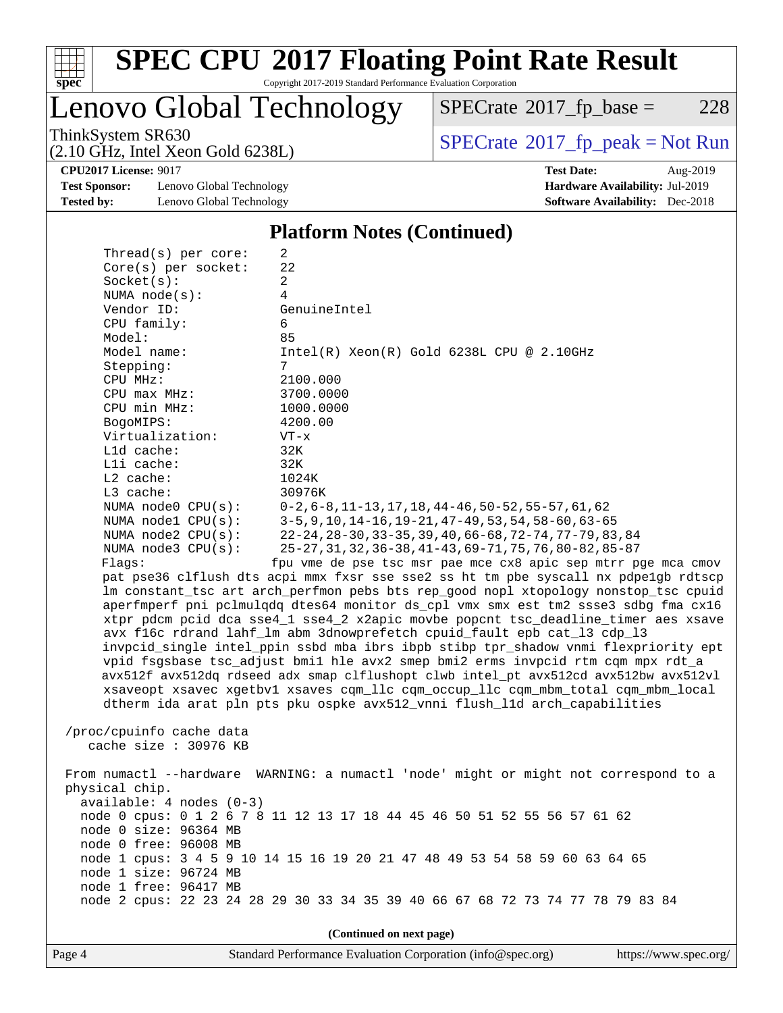

# **[SPEC CPU](http://www.spec.org/auto/cpu2017/Docs/result-fields.html#SPECCPU2017FloatingPointRateResult)[2017 Floating Point Rate Result](http://www.spec.org/auto/cpu2017/Docs/result-fields.html#SPECCPU2017FloatingPointRateResult)**

Copyright 2017-2019 Standard Performance Evaluation Corporation

Lenovo Global Technology

 $SPECTate@2017_fp\_base = 228$ 

(2.10 GHz, Intel Xeon Gold 6238L)

ThinkSystem SR630<br>  $(2.10 \text{ GHz})$  Intel Xeon Gold 6238I)

**[Test Sponsor:](http://www.spec.org/auto/cpu2017/Docs/result-fields.html#TestSponsor)** Lenovo Global Technology **[Hardware Availability:](http://www.spec.org/auto/cpu2017/Docs/result-fields.html#HardwareAvailability)** Jul-2019 **[Tested by:](http://www.spec.org/auto/cpu2017/Docs/result-fields.html#Testedby)** Lenovo Global Technology **[Software Availability:](http://www.spec.org/auto/cpu2017/Docs/result-fields.html#SoftwareAvailability)** Dec-2018

 $Thmend(a)$  per core:

**[CPU2017 License:](http://www.spec.org/auto/cpu2017/Docs/result-fields.html#CPU2017License)** 9017 **[Test Date:](http://www.spec.org/auto/cpu2017/Docs/result-fields.html#TestDate)** Aug-2019

#### **[Platform Notes \(Continued\)](http://www.spec.org/auto/cpu2017/Docs/result-fields.html#PlatformNotes)**

| iliteau s) her core.       | 4                                                                                    |  |  |  |  |
|----------------------------|--------------------------------------------------------------------------------------|--|--|--|--|
| Core(s) per socket:        | 22                                                                                   |  |  |  |  |
| Socket(s):                 | $\overline{a}$                                                                       |  |  |  |  |
| NUMA $node(s):$            | 4                                                                                    |  |  |  |  |
| Vendor ID:                 | GenuineIntel                                                                         |  |  |  |  |
| CPU family:                | 6                                                                                    |  |  |  |  |
| Model:                     | 85                                                                                   |  |  |  |  |
| Model name:                | $Intel(R) Xeon(R) Gold 6238L CPU @ 2.10GHz$                                          |  |  |  |  |
| Stepping:                  | 7                                                                                    |  |  |  |  |
| CPU MHz:                   | 2100.000                                                                             |  |  |  |  |
| CPU max MHz:               | 3700.0000                                                                            |  |  |  |  |
|                            |                                                                                      |  |  |  |  |
| CPU min MHz:               | 1000.0000                                                                            |  |  |  |  |
| BogoMIPS:                  | 4200.00                                                                              |  |  |  |  |
| Virtualization:            | $VT - x$                                                                             |  |  |  |  |
| L1d cache:                 | 32K                                                                                  |  |  |  |  |
| Lli cache:                 | 32K                                                                                  |  |  |  |  |
| $L2$ cache:                | 1024K                                                                                |  |  |  |  |
| L3 cache:                  | 30976K                                                                               |  |  |  |  |
| NUMA $node0$ $CPU(s)$ :    | $0-2, 6-8, 11-13, 17, 18, 44-46, 50-52, 55-57, 61, 62$                               |  |  |  |  |
| NUMA nodel $CPU(s):$       | $3-5, 9, 10, 14-16, 19-21, 47-49, 53, 54, 58-60, 63-65$                              |  |  |  |  |
| NUMA $node2$ $CPU(s)$ :    | 22-24, 28-30, 33-35, 39, 40, 66-68, 72-74, 77-79, 83, 84                             |  |  |  |  |
| NUMA node3 CPU(s):         | 25-27, 31, 32, 36-38, 41-43, 69-71, 75, 76, 80-82, 85-87                             |  |  |  |  |
| Flags:                     | fpu vme de pse tsc msr pae mce cx8 apic sep mtrr pge mca cmov                        |  |  |  |  |
|                            | pat pse36 clflush dts acpi mmx fxsr sse sse2 ss ht tm pbe syscall nx pdpelgb rdtscp  |  |  |  |  |
|                            | lm constant_tsc art arch_perfmon pebs bts rep_good nopl xtopology nonstop_tsc cpuid  |  |  |  |  |
|                            | aperfmperf pni pclmulqdq dtes64 monitor ds_cpl vmx smx est tm2 ssse3 sdbg fma cx16   |  |  |  |  |
|                            |                                                                                      |  |  |  |  |
|                            | xtpr pdcm pcid dca sse4_1 sse4_2 x2apic movbe popcnt tsc_deadline_timer aes xsave    |  |  |  |  |
|                            | avx f16c rdrand lahf_lm abm 3dnowprefetch cpuid_fault epb cat_13 cdp_13              |  |  |  |  |
|                            | invpcid_single intel_ppin ssbd mba ibrs ibpb stibp tpr_shadow vnmi flexpriority ept  |  |  |  |  |
|                            | vpid fsgsbase tsc_adjust bmil hle avx2 smep bmi2 erms invpcid rtm cqm mpx rdt_a      |  |  |  |  |
|                            | avx512f avx512dq rdseed adx smap clflushopt clwb intel_pt avx512cd avx512bw avx512vl |  |  |  |  |
|                            | xsaveopt xsavec xgetbvl xsaves cqm_llc cqm_occup_llc cqm_mbm_total cqm_mbm_local     |  |  |  |  |
|                            | dtherm ida arat pln pts pku ospke avx512_vnni flush_lld arch_capabilities            |  |  |  |  |
|                            |                                                                                      |  |  |  |  |
| /proc/cpuinfo cache data   |                                                                                      |  |  |  |  |
| cache size : 30976 KB      |                                                                                      |  |  |  |  |
|                            |                                                                                      |  |  |  |  |
|                            |                                                                                      |  |  |  |  |
|                            | From numactl --hardware WARNING: a numactl 'node' might or might not correspond to a |  |  |  |  |
| physical chip.             |                                                                                      |  |  |  |  |
| $available: 4 nodes (0-3)$ |                                                                                      |  |  |  |  |
|                            | node 0 cpus: 0 1 2 6 7 8 11 12 13 17 18 44 45 46 50 51 52 55 56 57 61 62             |  |  |  |  |
| node 0 size: 96364 MB      |                                                                                      |  |  |  |  |
| node 0 free: 96008 MB      |                                                                                      |  |  |  |  |
|                            | node 1 cpus: 3 4 5 9 10 14 15 16 19 20 21 47 48 49 53 54 58 59 60 63 64 65           |  |  |  |  |
| node 1 size: 96724 MB      |                                                                                      |  |  |  |  |
| node 1 free: 96417 MB      |                                                                                      |  |  |  |  |
|                            | node 2 cpus: 22 23 24 28 29 30 33 34 35 39 40 66 67 68 72 73 74 77 78 79 83 84       |  |  |  |  |
|                            |                                                                                      |  |  |  |  |
| (Continued on next page)   |                                                                                      |  |  |  |  |
|                            |                                                                                      |  |  |  |  |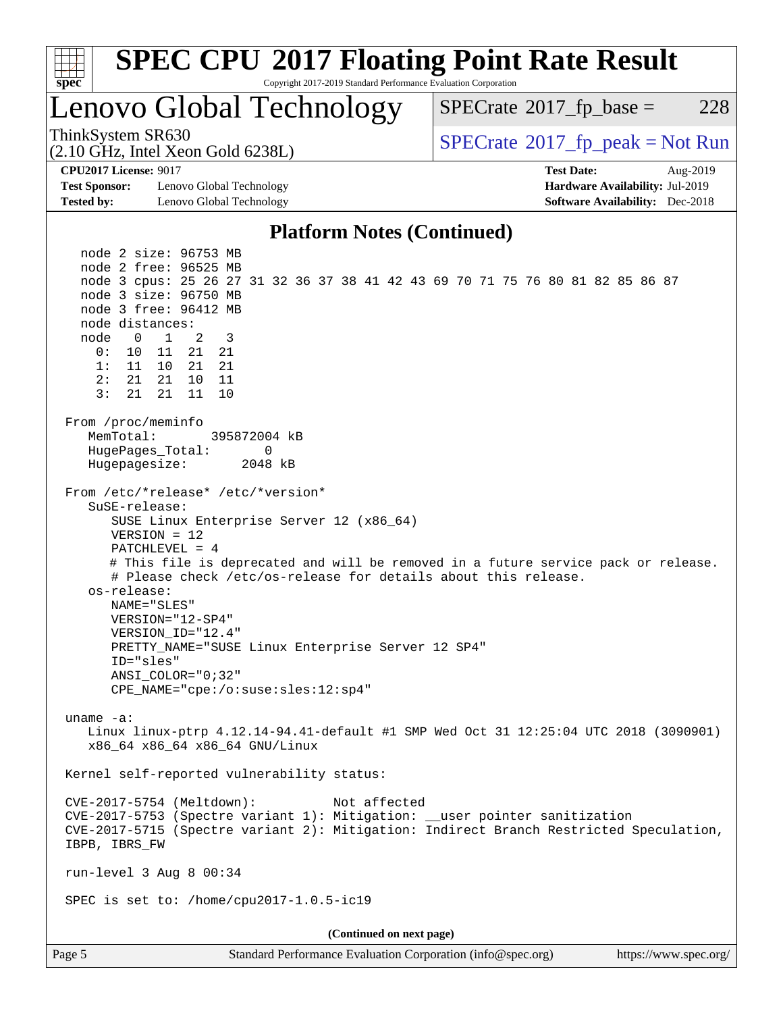

Page 5 Standard Performance Evaluation Corporation [\(info@spec.org\)](mailto:info@spec.org) <https://www.spec.org/>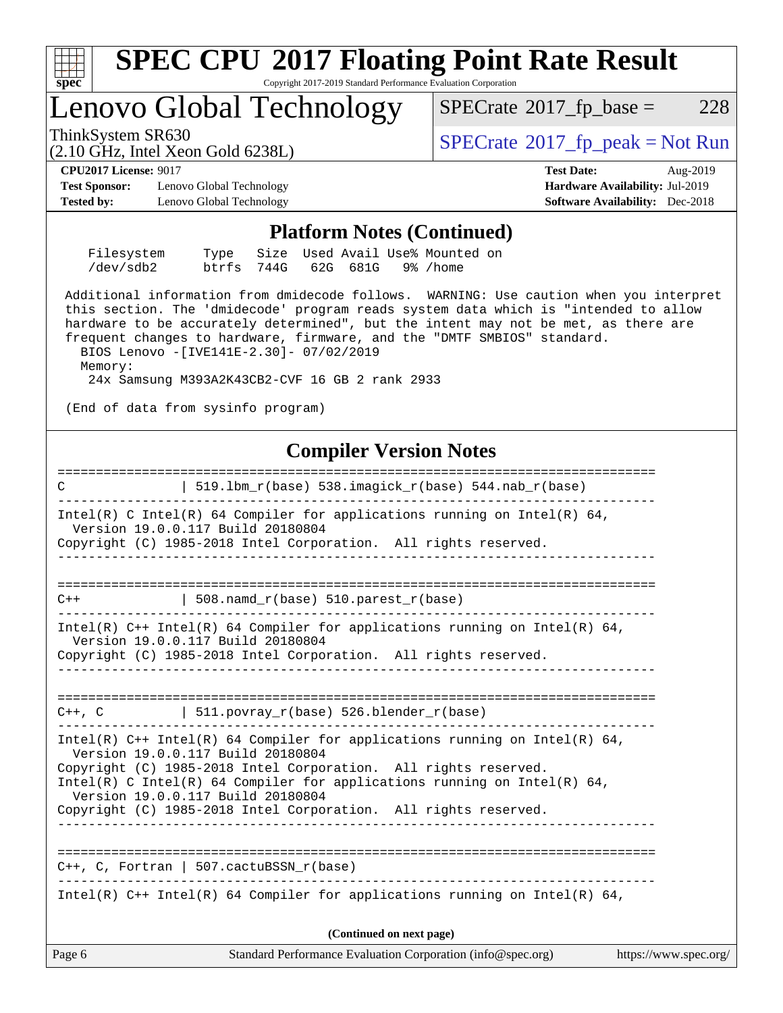

Page 6 Standard Performance Evaluation Corporation [\(info@spec.org\)](mailto:info@spec.org) <https://www.spec.org/>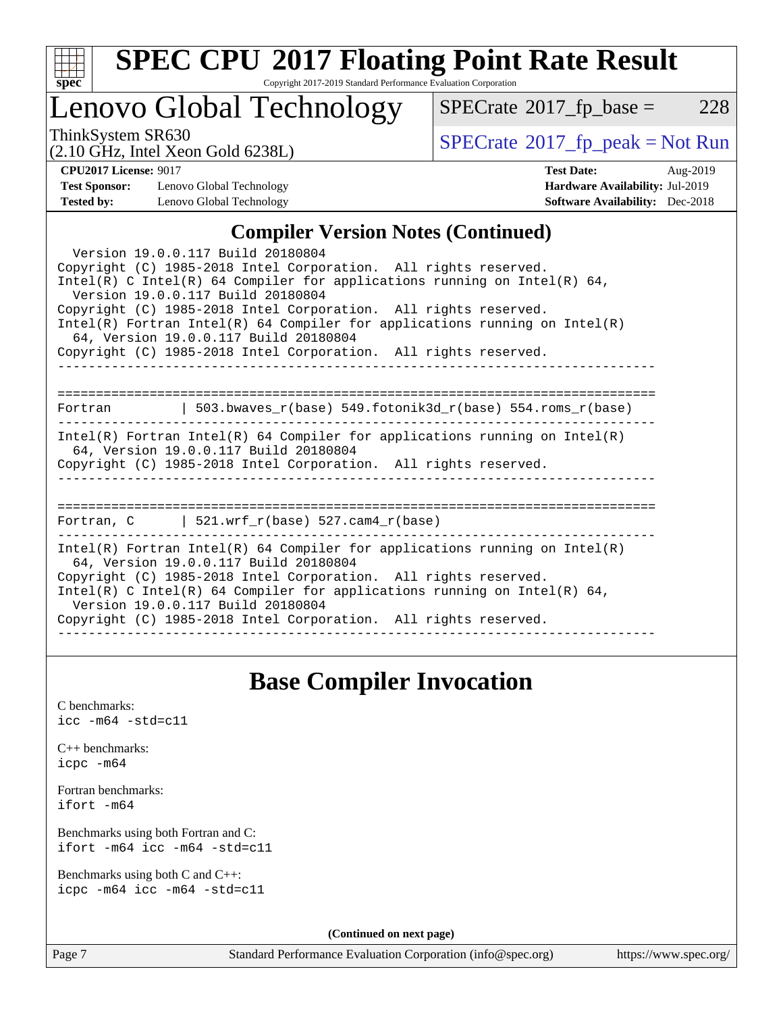

# **[SPEC CPU](http://www.spec.org/auto/cpu2017/Docs/result-fields.html#SPECCPU2017FloatingPointRateResult)[2017 Floating Point Rate Result](http://www.spec.org/auto/cpu2017/Docs/result-fields.html#SPECCPU2017FloatingPointRateResult)**

Copyright 2017-2019 Standard Performance Evaluation Corporation

## Lenovo Global Technology

 $SPECTate@2017_fp\_base = 228$ 

(2.10 GHz, Intel Xeon Gold 6238L)

ThinkSystem SR630<br>  $(2.10 \text{ GHz}_{\text{total}} \text{ York})$  [SPECrate](http://www.spec.org/auto/cpu2017/Docs/result-fields.html#SPECrate2017fppeak)®[2017\\_fp\\_peak = N](http://www.spec.org/auto/cpu2017/Docs/result-fields.html#SPECrate2017fppeak)ot Run

**[Test Sponsor:](http://www.spec.org/auto/cpu2017/Docs/result-fields.html#TestSponsor)** Lenovo Global Technology **[Hardware Availability:](http://www.spec.org/auto/cpu2017/Docs/result-fields.html#HardwareAvailability)** Jul-2019 **[Tested by:](http://www.spec.org/auto/cpu2017/Docs/result-fields.html#Testedby)** Lenovo Global Technology **[Software Availability:](http://www.spec.org/auto/cpu2017/Docs/result-fields.html#SoftwareAvailability)** Dec-2018

**[CPU2017 License:](http://www.spec.org/auto/cpu2017/Docs/result-fields.html#CPU2017License)** 9017 **[Test Date:](http://www.spec.org/auto/cpu2017/Docs/result-fields.html#TestDate)** Aug-2019

## **[Compiler Version Notes \(Continued\)](http://www.spec.org/auto/cpu2017/Docs/result-fields.html#CompilerVersionNotes)**

| Version 19.0.0.117 Build 20180804<br>Copyright (C) 1985-2018 Intel Corporation. All rights reserved.<br>Intel(R) C Intel(R) 64 Compiler for applications running on Intel(R) 64,<br>Version 19.0.0.117 Build 20180804<br>Copyright (C) 1985-2018 Intel Corporation. All rights reserved.<br>Intel(R) Fortran Intel(R) 64 Compiler for applications running on Intel(R)<br>64, Version 19.0.0.117 Build 20180804<br>Copyright (C) 1985-2018 Intel Corporation. All rights reserved. |
|------------------------------------------------------------------------------------------------------------------------------------------------------------------------------------------------------------------------------------------------------------------------------------------------------------------------------------------------------------------------------------------------------------------------------------------------------------------------------------|
| Fortran 		   503.bwaves_r(base) 549.fotonik3d_r(base) 554.roms_r(base)                                                                                                                                                                                                                                                                                                                                                                                                             |
| Intel(R) Fortran Intel(R) 64 Compiler for applications running on Intel(R)<br>64, Version 19.0.0.117 Build 20180804<br>Copyright (C) 1985-2018 Intel Corporation. All rights reserved.                                                                                                                                                                                                                                                                                             |
| Fortran, C $\vert$ 521.wrf r(base) 527.cam4 r(base)                                                                                                                                                                                                                                                                                                                                                                                                                                |
| $Intel(R)$ Fortran Intel(R) 64 Compiler for applications running on Intel(R)<br>64, Version 19.0.0.117 Build 20180804<br>Copyright (C) 1985-2018 Intel Corporation. All rights reserved.<br>Intel(R) C Intel(R) 64 Compiler for applications running on Intel(R) 64,<br>Version 19.0.0.117 Build 20180804<br>Copyright (C) 1985-2018 Intel Corporation. All rights reserved.                                                                                                       |

## **[Base Compiler Invocation](http://www.spec.org/auto/cpu2017/Docs/result-fields.html#BaseCompilerInvocation)**

[C benchmarks](http://www.spec.org/auto/cpu2017/Docs/result-fields.html#Cbenchmarks): [icc -m64 -std=c11](http://www.spec.org/cpu2017/results/res2019q3/cpu2017-20190819-17065.flags.html#user_CCbase_intel_icc_64bit_c11_33ee0cdaae7deeeab2a9725423ba97205ce30f63b9926c2519791662299b76a0318f32ddfffdc46587804de3178b4f9328c46fa7c2b0cd779d7a61945c91cd35)

|           | $C_{++}$ benchmarks: |
|-----------|----------------------|
| icpc -m64 |                      |

[Fortran benchmarks](http://www.spec.org/auto/cpu2017/Docs/result-fields.html#Fortranbenchmarks): [ifort -m64](http://www.spec.org/cpu2017/results/res2019q3/cpu2017-20190819-17065.flags.html#user_FCbase_intel_ifort_64bit_24f2bb282fbaeffd6157abe4f878425411749daecae9a33200eee2bee2fe76f3b89351d69a8130dd5949958ce389cf37ff59a95e7a40d588e8d3a57e0c3fd751)

[Benchmarks using both Fortran and C](http://www.spec.org/auto/cpu2017/Docs/result-fields.html#BenchmarksusingbothFortranandC): [ifort -m64](http://www.spec.org/cpu2017/results/res2019q3/cpu2017-20190819-17065.flags.html#user_CC_FCbase_intel_ifort_64bit_24f2bb282fbaeffd6157abe4f878425411749daecae9a33200eee2bee2fe76f3b89351d69a8130dd5949958ce389cf37ff59a95e7a40d588e8d3a57e0c3fd751) [icc -m64 -std=c11](http://www.spec.org/cpu2017/results/res2019q3/cpu2017-20190819-17065.flags.html#user_CC_FCbase_intel_icc_64bit_c11_33ee0cdaae7deeeab2a9725423ba97205ce30f63b9926c2519791662299b76a0318f32ddfffdc46587804de3178b4f9328c46fa7c2b0cd779d7a61945c91cd35)

[Benchmarks using both C and C++](http://www.spec.org/auto/cpu2017/Docs/result-fields.html#BenchmarksusingbothCandCXX): [icpc -m64](http://www.spec.org/cpu2017/results/res2019q3/cpu2017-20190819-17065.flags.html#user_CC_CXXbase_intel_icpc_64bit_4ecb2543ae3f1412ef961e0650ca070fec7b7afdcd6ed48761b84423119d1bf6bdf5cad15b44d48e7256388bc77273b966e5eb805aefd121eb22e9299b2ec9d9) [icc -m64 -std=c11](http://www.spec.org/cpu2017/results/res2019q3/cpu2017-20190819-17065.flags.html#user_CC_CXXbase_intel_icc_64bit_c11_33ee0cdaae7deeeab2a9725423ba97205ce30f63b9926c2519791662299b76a0318f32ddfffdc46587804de3178b4f9328c46fa7c2b0cd779d7a61945c91cd35)

**(Continued on next page)**

Page 7 Standard Performance Evaluation Corporation [\(info@spec.org\)](mailto:info@spec.org) <https://www.spec.org/>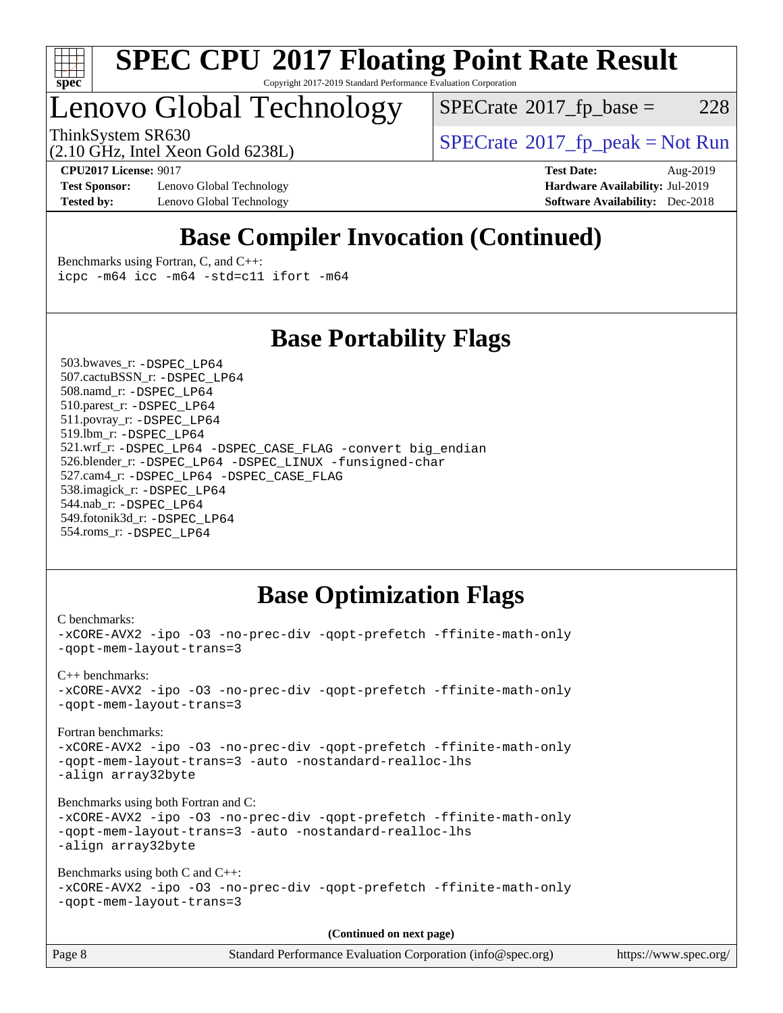

#### **[SPEC CPU](http://www.spec.org/auto/cpu2017/Docs/result-fields.html#SPECCPU2017FloatingPointRateResult)[2017 Floating Point Rate Result](http://www.spec.org/auto/cpu2017/Docs/result-fields.html#SPECCPU2017FloatingPointRateResult)** Copyright 2017-2019 Standard Performance Evaluation Corporation

# Lenovo Global Technology

 $SPECTate@2017_fp\_base = 228$ 

(2.10 GHz, Intel Xeon Gold 6238L)

ThinkSystem SR630<br>  $SPECTR_{10}$  [SPECrate](http://www.spec.org/auto/cpu2017/Docs/result-fields.html#SPECrate2017fppeak)®[2017\\_fp\\_peak = N](http://www.spec.org/auto/cpu2017/Docs/result-fields.html#SPECrate2017fppeak)ot Run

**[Test Sponsor:](http://www.spec.org/auto/cpu2017/Docs/result-fields.html#TestSponsor)** Lenovo Global Technology **[Hardware Availability:](http://www.spec.org/auto/cpu2017/Docs/result-fields.html#HardwareAvailability)** Jul-2019 **[Tested by:](http://www.spec.org/auto/cpu2017/Docs/result-fields.html#Testedby)** Lenovo Global Technology **[Software Availability:](http://www.spec.org/auto/cpu2017/Docs/result-fields.html#SoftwareAvailability)** Dec-2018

**[CPU2017 License:](http://www.spec.org/auto/cpu2017/Docs/result-fields.html#CPU2017License)** 9017 **[Test Date:](http://www.spec.org/auto/cpu2017/Docs/result-fields.html#TestDate)** Aug-2019

## **[Base Compiler Invocation \(Continued\)](http://www.spec.org/auto/cpu2017/Docs/result-fields.html#BaseCompilerInvocation)**

[Benchmarks using Fortran, C, and C++:](http://www.spec.org/auto/cpu2017/Docs/result-fields.html#BenchmarksusingFortranCandCXX) [icpc -m64](http://www.spec.org/cpu2017/results/res2019q3/cpu2017-20190819-17065.flags.html#user_CC_CXX_FCbase_intel_icpc_64bit_4ecb2543ae3f1412ef961e0650ca070fec7b7afdcd6ed48761b84423119d1bf6bdf5cad15b44d48e7256388bc77273b966e5eb805aefd121eb22e9299b2ec9d9) [icc -m64 -std=c11](http://www.spec.org/cpu2017/results/res2019q3/cpu2017-20190819-17065.flags.html#user_CC_CXX_FCbase_intel_icc_64bit_c11_33ee0cdaae7deeeab2a9725423ba97205ce30f63b9926c2519791662299b76a0318f32ddfffdc46587804de3178b4f9328c46fa7c2b0cd779d7a61945c91cd35) [ifort -m64](http://www.spec.org/cpu2017/results/res2019q3/cpu2017-20190819-17065.flags.html#user_CC_CXX_FCbase_intel_ifort_64bit_24f2bb282fbaeffd6157abe4f878425411749daecae9a33200eee2bee2fe76f3b89351d69a8130dd5949958ce389cf37ff59a95e7a40d588e8d3a57e0c3fd751)

## **[Base Portability Flags](http://www.spec.org/auto/cpu2017/Docs/result-fields.html#BasePortabilityFlags)**

 503.bwaves\_r: [-DSPEC\\_LP64](http://www.spec.org/cpu2017/results/res2019q3/cpu2017-20190819-17065.flags.html#suite_basePORTABILITY503_bwaves_r_DSPEC_LP64) 507.cactuBSSN\_r: [-DSPEC\\_LP64](http://www.spec.org/cpu2017/results/res2019q3/cpu2017-20190819-17065.flags.html#suite_basePORTABILITY507_cactuBSSN_r_DSPEC_LP64) 508.namd\_r: [-DSPEC\\_LP64](http://www.spec.org/cpu2017/results/res2019q3/cpu2017-20190819-17065.flags.html#suite_basePORTABILITY508_namd_r_DSPEC_LP64) 510.parest\_r: [-DSPEC\\_LP64](http://www.spec.org/cpu2017/results/res2019q3/cpu2017-20190819-17065.flags.html#suite_basePORTABILITY510_parest_r_DSPEC_LP64) 511.povray\_r: [-DSPEC\\_LP64](http://www.spec.org/cpu2017/results/res2019q3/cpu2017-20190819-17065.flags.html#suite_basePORTABILITY511_povray_r_DSPEC_LP64) 519.lbm\_r: [-DSPEC\\_LP64](http://www.spec.org/cpu2017/results/res2019q3/cpu2017-20190819-17065.flags.html#suite_basePORTABILITY519_lbm_r_DSPEC_LP64) 521.wrf\_r: [-DSPEC\\_LP64](http://www.spec.org/cpu2017/results/res2019q3/cpu2017-20190819-17065.flags.html#suite_basePORTABILITY521_wrf_r_DSPEC_LP64) [-DSPEC\\_CASE\\_FLAG](http://www.spec.org/cpu2017/results/res2019q3/cpu2017-20190819-17065.flags.html#b521.wrf_r_baseCPORTABILITY_DSPEC_CASE_FLAG) [-convert big\\_endian](http://www.spec.org/cpu2017/results/res2019q3/cpu2017-20190819-17065.flags.html#user_baseFPORTABILITY521_wrf_r_convert_big_endian_c3194028bc08c63ac5d04de18c48ce6d347e4e562e8892b8bdbdc0214820426deb8554edfa529a3fb25a586e65a3d812c835984020483e7e73212c4d31a38223) 526.blender\_r: [-DSPEC\\_LP64](http://www.spec.org/cpu2017/results/res2019q3/cpu2017-20190819-17065.flags.html#suite_basePORTABILITY526_blender_r_DSPEC_LP64) [-DSPEC\\_LINUX](http://www.spec.org/cpu2017/results/res2019q3/cpu2017-20190819-17065.flags.html#b526.blender_r_baseCPORTABILITY_DSPEC_LINUX) [-funsigned-char](http://www.spec.org/cpu2017/results/res2019q3/cpu2017-20190819-17065.flags.html#user_baseCPORTABILITY526_blender_r_force_uchar_40c60f00ab013830e2dd6774aeded3ff59883ba5a1fc5fc14077f794d777847726e2a5858cbc7672e36e1b067e7e5c1d9a74f7176df07886a243d7cc18edfe67) 527.cam4\_r: [-DSPEC\\_LP64](http://www.spec.org/cpu2017/results/res2019q3/cpu2017-20190819-17065.flags.html#suite_basePORTABILITY527_cam4_r_DSPEC_LP64) [-DSPEC\\_CASE\\_FLAG](http://www.spec.org/cpu2017/results/res2019q3/cpu2017-20190819-17065.flags.html#b527.cam4_r_baseCPORTABILITY_DSPEC_CASE_FLAG) 538.imagick\_r: [-DSPEC\\_LP64](http://www.spec.org/cpu2017/results/res2019q3/cpu2017-20190819-17065.flags.html#suite_basePORTABILITY538_imagick_r_DSPEC_LP64) 544.nab\_r: [-DSPEC\\_LP64](http://www.spec.org/cpu2017/results/res2019q3/cpu2017-20190819-17065.flags.html#suite_basePORTABILITY544_nab_r_DSPEC_LP64) 549.fotonik3d\_r: [-DSPEC\\_LP64](http://www.spec.org/cpu2017/results/res2019q3/cpu2017-20190819-17065.flags.html#suite_basePORTABILITY549_fotonik3d_r_DSPEC_LP64) 554.roms\_r: [-DSPEC\\_LP64](http://www.spec.org/cpu2017/results/res2019q3/cpu2017-20190819-17065.flags.html#suite_basePORTABILITY554_roms_r_DSPEC_LP64)

## **[Base Optimization Flags](http://www.spec.org/auto/cpu2017/Docs/result-fields.html#BaseOptimizationFlags)**

```
C benchmarks: 
-xCORE-AVX2 -ipo -O3 -no-prec-div -qopt-prefetch -ffinite-math-only
-qopt-mem-layout-trans=3
C++ benchmarks: 
-xCORE-AVX2 -ipo -O3 -no-prec-div -qopt-prefetch -ffinite-math-only
-qopt-mem-layout-trans=3
Fortran benchmarks: 
-xCORE-AVX2 -ipo -O3 -no-prec-div -qopt-prefetch -ffinite-math-only
-qopt-mem-layout-trans=3 -auto -nostandard-realloc-lhs
-align array32byte
Benchmarks using both Fortran and C: 
-xCORE-AVX2 -ipo -O3 -no-prec-div -qopt-prefetch -ffinite-math-only
-qopt-mem-layout-trans=3 -auto -nostandard-realloc-lhs
-align array32byte
Benchmarks using both C and C++: 
-xCORE-AVX2 -ipo -O3 -no-prec-div -qopt-prefetch -ffinite-math-only
-qopt-mem-layout-trans=3
                                      (Continued on next page)
```